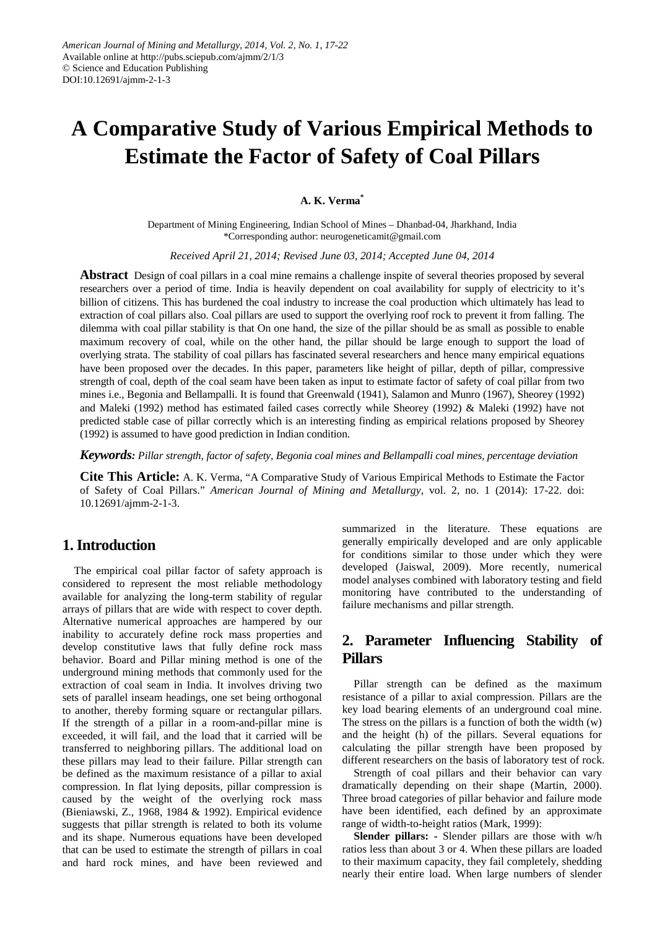# **A Comparative Study of Various Empirical Methods to Estimate the Factor of Safety of Coal Pillars**

## **A. K. Verma\***

Department of Mining Engineering, Indian School of Mines – Dhanbad-04, Jharkhand, India \*Corresponding author: neurogeneticamit@gmail.com

*Received April 21, 2014; Revised June 03, 2014; Accepted June 04, 2014*

**Abstract** Design of coal pillars in a coal mine remains a challenge inspite of several theories proposed by several researchers over a period of time. India is heavily dependent on coal availability for supply of electricity to it's billion of citizens. This has burdened the coal industry to increase the coal production which ultimately has lead to extraction of coal pillars also. Coal pillars are used to support the overlying roof rock to prevent it from falling. The dilemma with coal pillar stability is that On one hand, the size of the pillar should be as small as possible to enable maximum recovery of coal, while on the other hand, the pillar should be large enough to support the load of overlying strata. The stability of coal pillars has fascinated several researchers and hence many empirical equations have been proposed over the decades. In this paper, parameters like height of pillar, depth of pillar, compressive strength of coal, depth of the coal seam have been taken as input to estimate factor of safety of coal pillar from two mines i.e., Begonia and Bellampalli. It is found that Greenwald (1941), Salamon and Munro (1967), Sheorey (1992) and Maleki (1992) method has estimated failed cases correctly while Sheorey (1992) & Maleki (1992) have not predicted stable case of pillar correctly which is an interesting finding as empirical relations proposed by Sheorey (1992) is assumed to have good prediction in Indian condition.

*Keywords: Pillar strength, factor of safety, Begonia coal mines and Bellampalli coal mines, percentage deviation*

**Cite This Article:** A. K. Verma, "A Comparative Study of Various Empirical Methods to Estimate the Factor of Safety of Coal Pillars." *American Journal of Mining and Metallurgy*, vol. 2, no. 1 (2014): 17-22. doi: 10.12691/ajmm-2-1-3.

# **1.Introduction**

The empirical coal pillar factor of safety approach is considered to represent the most reliable methodology available for analyzing the long-term stability of regular arrays of pillars that are wide with respect to cover depth. Alternative numerical approaches are hampered by our inability to accurately define rock mass properties and develop constitutive laws that fully define rock mass behavior. Board and Pillar mining method is one of the underground mining methods that commonly used for the extraction of coal seam in India. It involves driving two sets of parallel inseam headings, one set being orthogonal to another, thereby forming square or rectangular pillars. If the strength of a pillar in a room-and-pillar mine is exceeded, it will fail, and the load that it carried will be transferred to neighboring pillars. The additional load on these pillars may lead to their failure. Pillar strength can be defined as the maximum resistance of a pillar to axial compression. In flat lying deposits, pillar compression is caused by the weight of the overlying rock mass (Bieniawski, Z., 1968, 1984 & 1992). Empirical evidence suggests that pillar strength is related to both its volume and its shape. Numerous equations have been developed that can be used to estimate the strength of pillars in coal and hard rock mines, and have been reviewed and summarized in the literature. These equations are generally empirically developed and are only applicable for conditions similar to those under which they were developed (Jaiswal, 2009). More recently, numerical model analyses combined with laboratory testing and field monitoring have contributed to the understanding of failure mechanisms and pillar strength.

# **2. Parameter Influencing Stability of Pillars**

Pillar strength can be defined as the maximum resistance of a pillar to axial compression. Pillars are the key load bearing elements of an underground coal mine. The stress on the pillars is a function of both the width (w) and the height (h) of the pillars. Several equations for calculating the pillar strength have been proposed by different researchers on the basis of laboratory test of rock.

Strength of coal pillars and their behavior can vary dramatically depending on their shape (Martin, 2000). Three broad categories of pillar behavior and failure mode have been identified, each defined by an approximate range of width-to-height ratios (Mark, 1999):

**Slender pillars: -** Slender pillars are those with w/h ratios less than about 3 or 4. When these pillars are loaded to their maximum capacity, they fail completely, shedding nearly their entire load. When large numbers of slender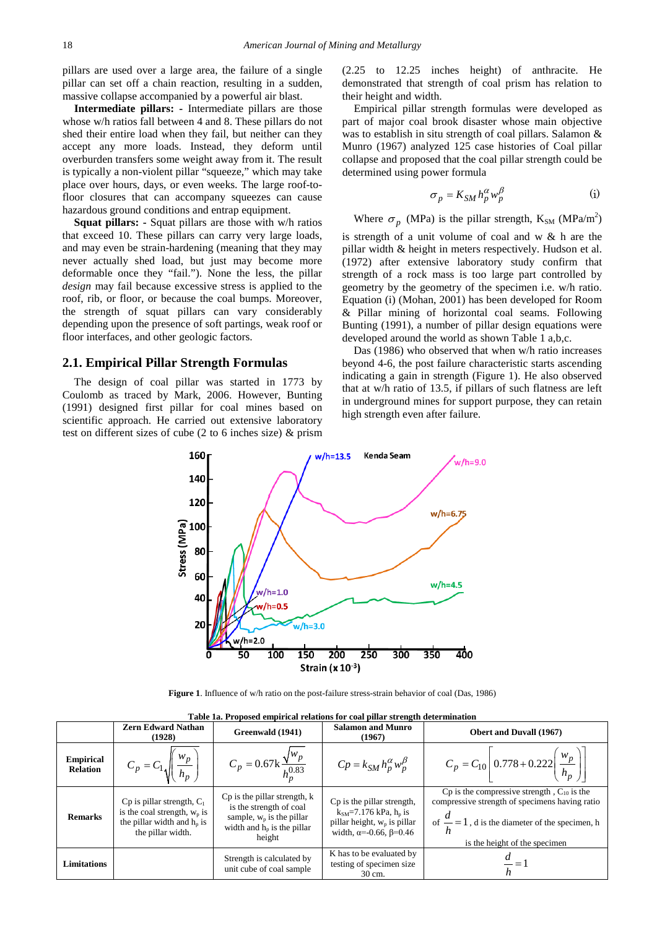pillars are used over a large area, the failure of a single pillar can set off a chain reaction, resulting in a sudden, massive collapse accompanied by a powerful air blast.

**Intermediate pillars: -** Intermediate pillars are those whose w/h ratios fall between 4 and 8. These pillars do not shed their entire load when they fail, but neither can they accept any more loads. Instead, they deform until overburden transfers some weight away from it. The result is typically a non-violent pillar "squeeze," which may take place over hours, days, or even weeks. The large roof-tofloor closures that can accompany squeezes can cause hazardous ground conditions and entrap equipment.

**Squat pillars: -** Squat pillars are those with w/h ratios that exceed 10. These pillars can carry very large loads, and may even be strain-hardening (meaning that they may never actually shed load, but just may become more deformable once they "fail."). None the less, the pillar *design* may fail because excessive stress is applied to the roof, rib, or floor, or because the coal bumps. Moreover, the strength of squat pillars can vary considerably depending upon the presence of soft partings, weak roof or floor interfaces, and other geologic factors.

#### **2.1. Empirical Pillar Strength Formulas**

The design of coal pillar was started in 1773 by Coulomb as traced by Mark, 2006. However, Bunting (1991) designed first pillar for coal mines based on scientific approach. He carried out extensive laboratory test on different sizes of cube (2 to 6 inches size) & prism (2.25 to 12.25 inches height) of anthracite. He demonstrated that strength of coal prism has relation to their height and width.

Empirical pillar strength formulas were developed as part of major coal brook disaster whose main objective was to establish in situ strength of coal pillars. Salamon & Munro (1967) analyzed 125 case histories of Coal pillar collapse and proposed that the coal pillar strength could be determined using power formula

$$
\sigma_p = K_{SM} h_p^{\alpha} w_p^{\beta} \tag{i}
$$

Where  $\sigma_p$  (MPa) is the pillar strength,  $K_{SM}$  (MPa/m<sup>2</sup>)

is strength of a unit volume of coal and w & h are the pillar width & height in meters respectively. Hudson et al. (1972) after extensive laboratory study confirm that strength of a rock mass is too large part controlled by geometry by the geometry of the specimen i.e. w/h ratio. Equation (i) (Mohan, 2001) has been developed for Room & Pillar mining of horizontal coal seams. Following Bunting (1991), a number of pillar design equations were developed around the world as shown Table 1 a,b,c.

Das (1986) who observed that when w/h ratio increases beyond 4-6, the post failure characteristic starts ascending indicating a gain in strength (Figure 1). He also observed that at w/h ratio of 13.5, if pillars of such flatness are left in underground mines for support purpose, they can retain high strength even after failure.



**Figure 1**. Influence of w/h ratio on the post-failure stress-strain behavior of coal (Das, 1986)

|                                     | <b>Zern Edward Nathan</b><br>(1928)                                                                                     | Greenwald (1941)                                                                                                                      | <b>Salamon and Munro</b><br>(1967)                                                                                                     | <b>Obert and Duvall (1967)</b>                                                                                                                                                                    |
|-------------------------------------|-------------------------------------------------------------------------------------------------------------------------|---------------------------------------------------------------------------------------------------------------------------------------|----------------------------------------------------------------------------------------------------------------------------------------|---------------------------------------------------------------------------------------------------------------------------------------------------------------------------------------------------|
| <b>Empirical</b><br><b>Relation</b> | $C_p = C_1 \sqrt{\frac{w_p}{h_p}}$                                                                                      | $C_p = 0.67 \text{k} \frac{\sqrt{w_p}}{h_p^{0.83}}$                                                                                   | $C p = k_{SM} h_p^{\alpha} w_p^{\beta}$                                                                                                | $C_p = C_{10} \left[ 0.778 + 0.222 \left( \frac{w_p}{h_p} \right) \right]$                                                                                                                        |
| <b>Remarks</b>                      | $C_p$ is pillar strength, $C_1$<br>is the coal strength, $w_p$ is<br>the pillar width and $h_n$ is<br>the pillar width. | $Cp$ is the pillar strength, $k$<br>is the strength of coal<br>sample, $w_p$ is the pillar<br>width and $h_n$ is the pillar<br>height | Cp is the pillar strength,<br>$k_{SM}$ =7.176 kPa, $h_p$ is<br>pillar height, $w_p$ is pillar<br>width, $\alpha$ =-0.66, $\beta$ =0.46 | Cp is the compressive strength, $C_{10}$ is the<br>compressive strength of specimens having ratio<br>of $\frac{a}{1} = 1$ , d is the diameter of the specimen, h<br>is the height of the specimen |
| <b>Limitations</b>                  |                                                                                                                         | Strength is calculated by<br>unit cube of coal sample                                                                                 | K has to be evaluated by<br>testing of specimen size<br>30 cm.                                                                         | $\frac{u}{-} = 1$                                                                                                                                                                                 |

**Table 1a. Proposed empirical relations for coal pillar strength determination**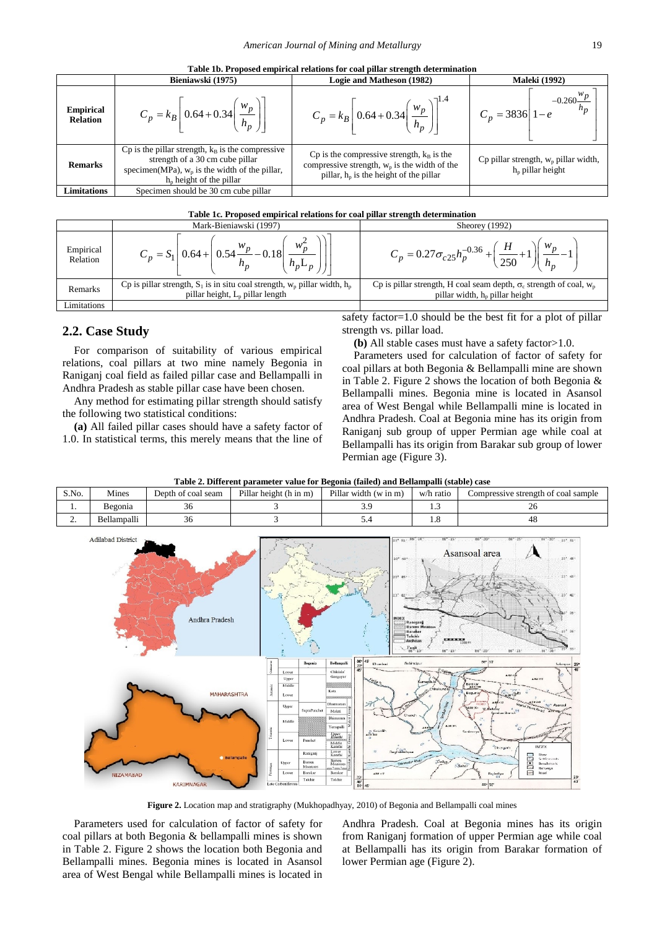| Table 1b. Proposed empirical relations for coal pillar strength determination |                                                                                                                                                                            |                                                                                                                                                |                                                                      |  |  |  |  |
|-------------------------------------------------------------------------------|----------------------------------------------------------------------------------------------------------------------------------------------------------------------------|------------------------------------------------------------------------------------------------------------------------------------------------|----------------------------------------------------------------------|--|--|--|--|
|                                                                               | Bieniawski (1975)                                                                                                                                                          | Logie and Matheson (1982)                                                                                                                      | <b>Maleki</b> (1992)                                                 |  |  |  |  |
| <b>Empirical</b><br><b>Relation</b>                                           | $C_p = k_B \left[ 0.64 + 0.34 \left( \frac{w_p}{h_p} \right) \right]$                                                                                                      | $C_p = k_B \left[ 0.64 + 0.34 \left( \frac{w_p}{h_p} \right) \right]^{1.4}$                                                                    | $C_p = 3836 \left  1 - e^{-0.260 \frac{w_p}{h_p}} \right $           |  |  |  |  |
| <b>Remarks</b>                                                                | $Cp$ is the pillar strength, $k_B$ is the compressive<br>strength of a 30 cm cube pillar<br>specimen(MPa), $w_p$ is the width of the pillar,<br>$h_n$ height of the pillar | $Cp$ is the compressive strength, $k_B$ is the<br>compressive strength, $w_p$ is the width of the<br>pillar, $h_p$ is the height of the pillar | Cp pillar strength, $w_p$ pillar width,<br>$h_{\rm p}$ pillar height |  |  |  |  |
| <b>Limitations</b>                                                            | Specimen should be 30 cm cube pillar                                                                                                                                       |                                                                                                                                                |                                                                      |  |  |  |  |

#### **Table 1b. Proposed empirical relations for coal pillar strength determination**

#### **Table 1c. Proposed empirical relations for coal pillar strength determination**

|                       | Mark-Bieniawski (1997)                                                                                                 | Sheorey $(1992)$                                                                                                           |  |
|-----------------------|------------------------------------------------------------------------------------------------------------------------|----------------------------------------------------------------------------------------------------------------------------|--|
| Empirical<br>Relation | S. $0.64 + 0.54 \frac{w_p}{h_p} - 0.18 \frac{1}{h_p}$                                                                  | $C_p = 0.27 \sigma_{c25} h_p^{-0.36} + \left(\frac{H}{250} + 1\right) \left(\frac{w_p}{h_n}\right) - 1$                    |  |
| Remarks               | Cp is pillar strength, $S_1$ is in situ coal strength, $W_p$ pillar width, $h_p$<br>pillar height, $L_p$ pillar length | Cp is pillar strength, H coal seam depth, $\sigma_c$ strength of coal, $w_n$<br>pillar width, h <sub>p</sub> pillar height |  |
| Limitations           |                                                                                                                        |                                                                                                                            |  |

## **2.2. Case Study**

For comparison of suitability of various empirical relations, coal pillars at two mine namely Begonia in Raniganj coal field as failed pillar case and Bellampalli in Andhra Pradesh as stable pillar case have been chosen.

Any method for estimating pillar strength should satisfy the following two statistical conditions:

**(a)** All failed pillar cases should have a safety factor of 1.0. In statistical terms, this merely means that the line of safety factor=1.0 should be the best fit for a plot of pillar strength vs. pillar load.

**(b)** All stable cases must have a safety factor>1.0.

Parameters used for calculation of factor of safety for coal pillars at both Begonia & Bellampalli mine are shown in Table 2. Figure 2 shows the location of both Begonia & Bellampalli mines. Begonia mine is located in Asansol area of West Bengal while Bellampalli mine is located in Andhra Pradesh. Coal at Begonia mine has its origin from Raniganj sub group of upper Permian age while coal at Bellampalli has its origin from Barakar sub group of lower Permian age (Figure 3).

| Table 2. Different parameter value for Begonia (failed) and Bellampalli (stable) case |  |
|---------------------------------------------------------------------------------------|--|
|---------------------------------------------------------------------------------------|--|

| S.No.    | Mines       | Depth of coal seam | Pillar height (h in m) | Pillar width (w in m) | w/h ratio       | Compressive strength of coal sample |
|----------|-------------|--------------------|------------------------|-----------------------|-----------------|-------------------------------------|
|          | Begonia     |                    |                        |                       | $\cdot$ $\cdot$ | ∠∪                                  |
| <u>.</u> | Bellampalli | 36                 |                        | $\sim$ . $\neg$       | 1.C             | 4c                                  |



**Figure 2.** Location map and stratigraphy (Mukhopadhyay, 2010) of Begonia and Bellampalli coal mines

Parameters used for calculation of factor of safety for coal pillars at both Begonia & bellampalli mines is shown in Table 2. Figure 2 shows the location both Begonia and Bellampalli mines. Begonia mines is located in Asansol area of West Bengal while Bellampalli mines is located in

Andhra Pradesh. Coal at Begonia mines has its origin from Raniganj formation of upper Permian age while coal at Bellampalli has its origin from Barakar formation of lower Permian age (Figure 2).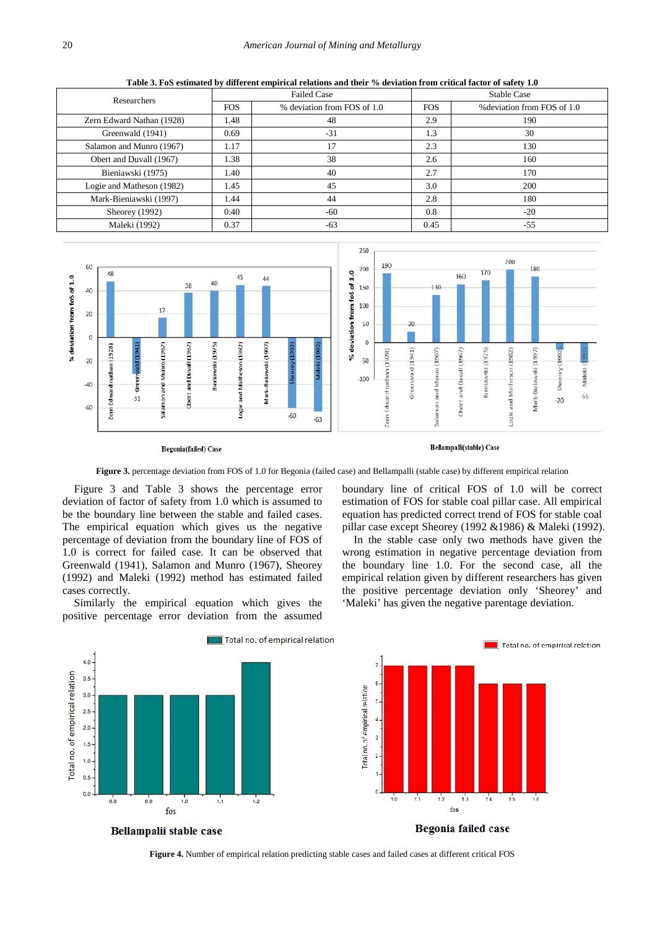| Researchers               | <b>Failed Case</b> |                             |            | <b>Stable Case</b>          |  |
|---------------------------|--------------------|-----------------------------|------------|-----------------------------|--|
|                           | <b>FOS</b>         | % deviation from FOS of 1.0 | <b>FOS</b> | % deviation from FOS of 1.0 |  |
| Zern Edward Nathan (1928) | 1.48               | 48                          | 2.9        | 190                         |  |
| Greenwald (1941)          | 0.69               | $-31$                       | 1.3        | 30                          |  |
| Salamon and Munro (1967)  | 1.17               | 17                          | 2.3        | 130                         |  |
| Obert and Duvall (1967)   | L.38               | 38                          | 2.6        | 160                         |  |
| Bieniawski (1975)         | 1.40               | 40                          | 2.7        | 170                         |  |
| Logie and Matheson (1982) | 1.45               | 45                          | 3.0        | 200                         |  |
| Mark-Bieniawski (1997)    | 1.44               | 44                          | 2.8        | 180                         |  |
| Sheorey $(1992)$          | 0.40               | $-60$                       | 0.8        | $-20$                       |  |
| Maleki (1992)             | 0.37               | $-63$                       | 0.45       | -55                         |  |

**Table 3. FoS estimated by different empirical relations and their % deviation from critical factor of safety 1.0**



**Figure 3.** percentage deviation from FOS of 1.0 for Begonia (failed case) and Bellampalli (stable case) by different empirical relation

Figure 3 and Table 3 shows the percentage error deviation of factor of safety from 1.0 which is assumed to be the boundary line between the stable and failed cases. The empirical equation which gives us the negative percentage of deviation from the boundary line of FOS of 1.0 is correct for failed case. It can be observed that Greenwald (1941), Salamon and Munro (1967), Sheorey (1992) and Maleki (1992) method has estimated failed cases correctly.

Similarly the empirical equation which gives the positive percentage error deviation from the assumed boundary line of critical FOS of 1.0 will be correct estimation of FOS for stable coal pillar case. All empirical equation has predicted correct trend of FOS for stable coal pillar case except Sheorey (1992 &1986) & Maleki (1992).

In the stable case only two methods have given the wrong estimation in negative percentage deviation from the boundary line 1.0. For the second case, all the empirical relation given by different researchers has given the positive percentage deviation only 'Sheorey' and 'Maleki' has given the negative parentage deviation.



**Figure 4.** Number of empirical relation predicting stable cases and failed cases at different critical FOS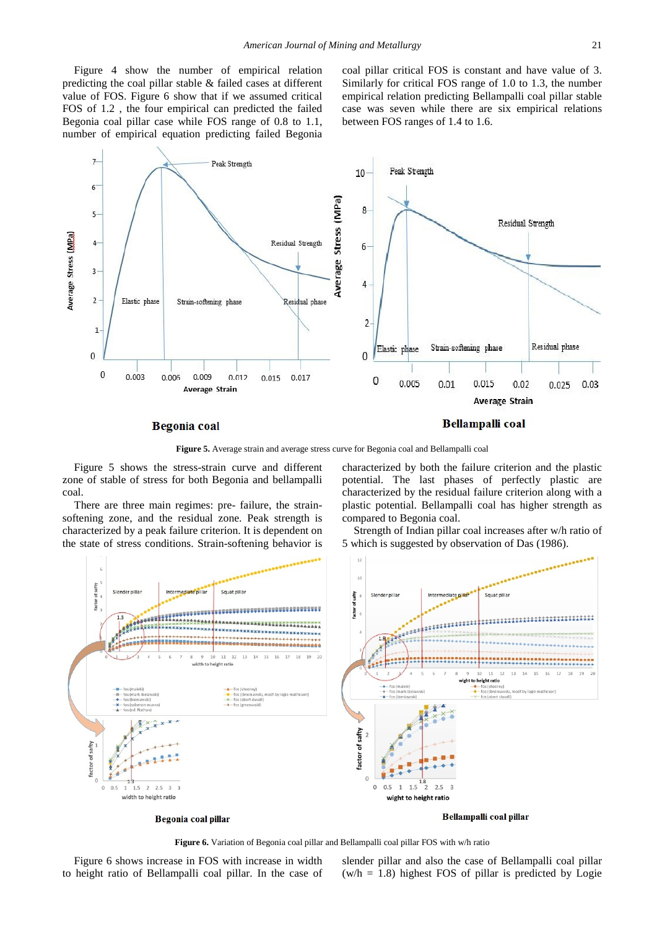Figure 4 show the number of empirical relation predicting the coal pillar stable & failed cases at different value of FOS. Figure 6 show that if we assumed critical FOS of 1.2 , the four empirical can predicted the failed Begonia coal pillar case while FOS range of 0.8 to 1.1, number of empirical equation predicting failed Begonia

coal pillar critical FOS is constant and have value of 3. Similarly for critical FOS range of 1.0 to 1.3, the number empirical relation predicting Bellampalli coal pillar stable case was seven while there are six empirical relations between FOS ranges of 1.4 to 1.6.



#### **Begonia** coal

**Bellampalli** coal

**Figure 5.** Average strain and average stress curve for Begonia coal and Bellampalli coal

Figure 5 shows the stress-strain curve and different zone of stable of stress for both Begonia and bellampalli coal.

There are three main regimes: pre- failure, the strainsoftening zone, and the residual zone. Peak strength is characterized by a peak failure criterion. It is dependent on the state of stress conditions. Strain-softening behavior is

characterized by both the failure criterion and the plastic potential. The last phases of perfectly plastic are characterized by the residual failure criterion along with a plastic potential. Bellampalli coal has higher strength as compared to Begonia coal.

Strength of Indian pillar coal increases after w/h ratio of 5 which is suggested by observation of Das (1986).



**Figure 6.** Variation of Begonia coal pillar and Bellampalli coal pillar FOS with w/h ratio

Figure 6 shows increase in FOS with increase in width to height ratio of Bellampalli coal pillar. In the case of slender pillar and also the case of Bellampalli coal pillar  $(w/h = 1.8)$  highest FOS of pillar is predicted by Logie